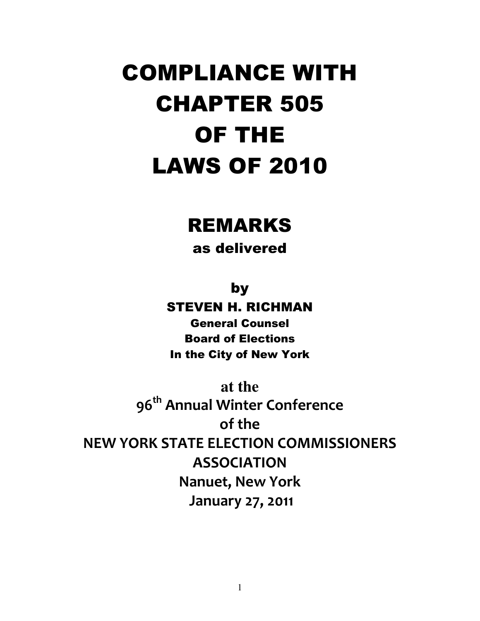# COMPLIANCE WITH CHAPTER 505 OF THE LAWS OF 2010

## REMARKS

as delivered

by

STEVEN H. RICHMAN General Counsel Board of Elections In the City of New York

**at the**  96<sup>th</sup> Annual Winter Conference of the NEW YORK STATE ELECTION COMMISSIONERS ASSOCIATION Nanuet, New York January 27, 2011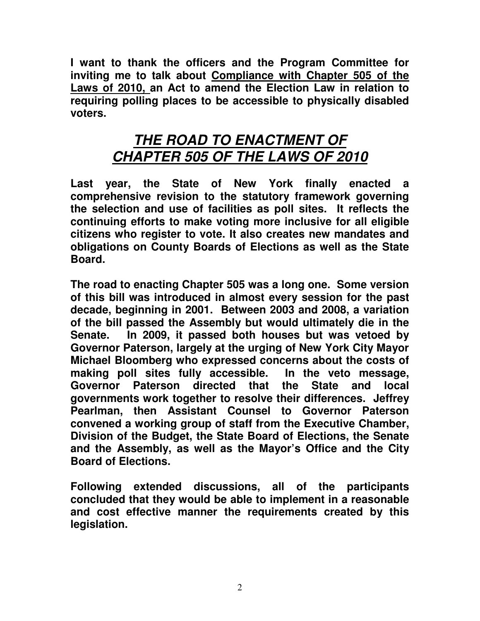**I want to thank the officers and the Program Committee for inviting me to talk about Compliance with Chapter 505 of the Laws of 2010, an Act to amend the Election Law in relation to requiring polling places to be accessible to physically disabled voters.** 

### **THE ROAD TO ENACTMENT OF CHAPTER 505 OF THE LAWS OF 2010**

**Last year, the State of New York finally enacted a comprehensive revision to the statutory framework governing the selection and use of facilities as poll sites. It reflects the continuing efforts to make voting more inclusive for all eligible citizens who register to vote. It also creates new mandates and obligations on County Boards of Elections as well as the State Board.** 

**The road to enacting Chapter 505 was a long one. Some version of this bill was introduced in almost every session for the past decade, beginning in 2001. Between 2003 and 2008, a variation of the bill passed the Assembly but would ultimately die in the Senate. In 2009, it passed both houses but was vetoed by Governor Paterson, largely at the urging of New York City Mayor Michael Bloomberg who expressed concerns about the costs of making poll sites fully accessible. In the veto message, Governor Paterson directed that the State and local governments work together to resolve their differences. Jeffrey Pearlman, then Assistant Counsel to Governor Paterson convened a working group of staff from the Executive Chamber, Division of the Budget, the State Board of Elections, the Senate and the Assembly, as well as the Mayor's Office and the City Board of Elections.** 

**Following extended discussions, all of the participants concluded that they would be able to implement in a reasonable and cost effective manner the requirements created by this legislation.**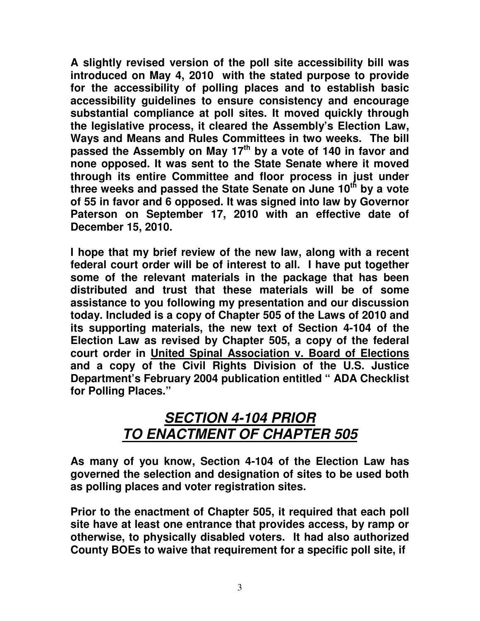**A slightly revised version of the poll site accessibility bill was introduced on May 4, 2010 with the stated purpose to provide for the accessibility of polling places and to establish basic accessibility guidelines to ensure consistency and encourage substantial compliance at poll sites. It moved quickly through the legislative process, it cleared the Assembly's Election Law, Ways and Means and Rules Committees in two weeks. The bill passed the Assembly on May 17th by a vote of 140 in favor and none opposed. It was sent to the State Senate where it moved through its entire Committee and floor process in just under three weeks and passed the State Senate on June 10th by a vote of 55 in favor and 6 opposed. It was signed into law by Governor Paterson on September 17, 2010 with an effective date of December 15, 2010.** 

**I hope that my brief review of the new law, along with a recent federal court order will be of interest to all. I have put together some of the relevant materials in the package that has been distributed and trust that these materials will be of some assistance to you following my presentation and our discussion today. Included is a copy of Chapter 505 of the Laws of 2010 and its supporting materials, the new text of Section 4-104 of the Election Law as revised by Chapter 505, a copy of the federal court order in United Spinal Association v. Board of Elections and a copy of the Civil Rights Division of the U.S. Justice Department's February 2004 publication entitled " ADA Checklist for Polling Places."** 

## **SECTION 4-104 PRIOR TO ENACTMENT OF CHAPTER 505**

**As many of you know, Section 4-104 of the Election Law has governed the selection and designation of sites to be used both as polling places and voter registration sites.** 

**Prior to the enactment of Chapter 505, it required that each poll site have at least one entrance that provides access, by ramp or otherwise, to physically disabled voters. It had also authorized County BOEs to waive that requirement for a specific poll site, if**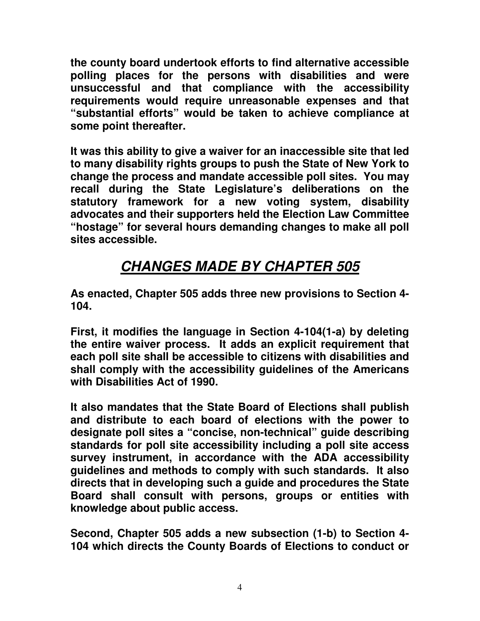**the county board undertook efforts to find alternative accessible polling places for the persons with disabilities and were unsuccessful and that compliance with the accessibility requirements would require unreasonable expenses and that "substantial efforts" would be taken to achieve compliance at some point thereafter.** 

**It was this ability to give a waiver for an inaccessible site that led to many disability rights groups to push the State of New York to change the process and mandate accessible poll sites. You may recall during the State Legislature's deliberations on the statutory framework for a new voting system, disability advocates and their supporters held the Election Law Committee "hostage" for several hours demanding changes to make all poll sites accessible.** 

## **CHANGES MADE BY CHAPTER 505**

**As enacted, Chapter 505 adds three new provisions to Section 4- 104.** 

**First, it modifies the language in Section 4-104(1-a) by deleting the entire waiver process. It adds an explicit requirement that each poll site shall be accessible to citizens with disabilities and shall comply with the accessibility guidelines of the Americans with Disabilities Act of 1990.** 

**It also mandates that the State Board of Elections shall publish and distribute to each board of elections with the power to designate poll sites a "concise, non-technical" guide describing standards for poll site accessibility including a poll site access survey instrument, in accordance with the ADA accessibility guidelines and methods to comply with such standards. It also directs that in developing such a guide and procedures the State Board shall consult with persons, groups or entities with knowledge about public access.** 

**Second, Chapter 505 adds a new subsection (1-b) to Section 4- 104 which directs the County Boards of Elections to conduct or**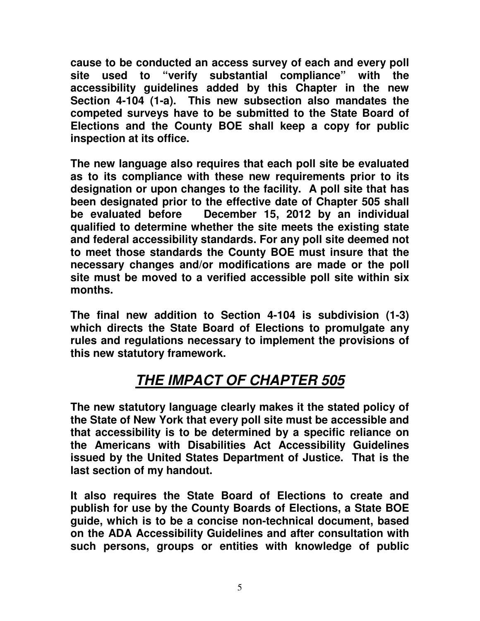**cause to be conducted an access survey of each and every poll site used to "verify substantial compliance" with the accessibility guidelines added by this Chapter in the new Section 4-104 (1-a). This new subsection also mandates the competed surveys have to be submitted to the State Board of Elections and the County BOE shall keep a copy for public inspection at its office.** 

**The new language also requires that each poll site be evaluated as to its compliance with these new requirements prior to its designation or upon changes to the facility. A poll site that has been designated prior to the effective date of Chapter 505 shall be evaluated before December 15, 2012 by an individual qualified to determine whether the site meets the existing state and federal accessibility standards. For any poll site deemed not to meet those standards the County BOE must insure that the necessary changes and/or modifications are made or the poll site must be moved to a verified accessible poll site within six months.** 

**The final new addition to Section 4-104 is subdivision (1-3) which directs the State Board of Elections to promulgate any rules and regulations necessary to implement the provisions of this new statutory framework.** 

## **THE IMPACT OF CHAPTER 505**

**The new statutory language clearly makes it the stated policy of the State of New York that every poll site must be accessible and that accessibility is to be determined by a specific reliance on the Americans with Disabilities Act Accessibility Guidelines issued by the United States Department of Justice. That is the last section of my handout.** 

**It also requires the State Board of Elections to create and publish for use by the County Boards of Elections, a State BOE guide, which is to be a concise non-technical document, based on the ADA Accessibility Guidelines and after consultation with such persons, groups or entities with knowledge of public**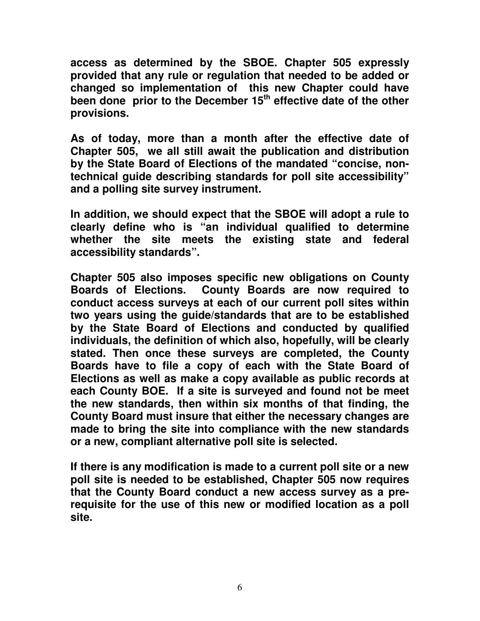**access as determined by the SBOE. Chapter 505 expressly provided that any rule or regulation that needed to be added or changed so implementation of this new Chapter could have been done prior to the December 15th effective date of the other provisions.** 

**As of today, more than a month after the effective date of Chapter 505, we all still await the publication and distribution by the State Board of Elections of the mandated "concise, nontechnical guide describing standards for poll site accessibility" and a polling site survey instrument.** 

**In addition, we should expect that the SBOE will adopt a rule to clearly define who is "an individual qualified to determine whether the site meets the existing state and federal accessibility standards".** 

**Chapter 505 also imposes specific new obligations on County Boards of Elections. County Boards are now required to conduct access surveys at each of our current poll sites within two years using the guide/standards that are to be established by the State Board of Elections and conducted by qualified individuals, the definition of which also, hopefully, will be clearly stated. Then once these surveys are completed, the County Boards have to file a copy of each with the State Board of Elections as well as make a copy available as public records at each County BOE. If a site is surveyed and found not be meet the new standards, then within six months of that finding, the County Board must insure that either the necessary changes are made to bring the site into compliance with the new standards or a new, compliant alternative poll site is selected.** 

**If there is any modification is made to a current poll site or a new poll site is needed to be established, Chapter 505 now requires that the County Board conduct a new access survey as a prerequisite for the use of this new or modified location as a poll site.**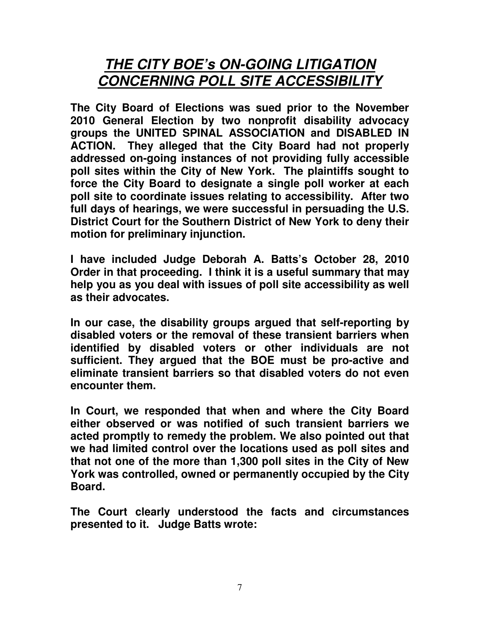### **THE CITY BOE's ON-GOING LITIGATION CONCERNING POLL SITE ACCESSIBILITY**

**The City Board of Elections was sued prior to the November 2010 General Election by two nonprofit disability advocacy groups the UNITED SPINAL ASSOCIATION and DISABLED IN ACTION. They alleged that the City Board had not properly addressed on-going instances of not providing fully accessible poll sites within the City of New York. The plaintiffs sought to force the City Board to designate a single poll worker at each poll site to coordinate issues relating to accessibility. After two full days of hearings, we were successful in persuading the U.S. District Court for the Southern District of New York to deny their motion for preliminary injunction.** 

**I have included Judge Deborah A. Batts's October 28, 2010 Order in that proceeding. I think it is a useful summary that may help you as you deal with issues of poll site accessibility as well as their advocates.** 

**In our case, the disability groups argued that self-reporting by disabled voters or the removal of these transient barriers when identified by disabled voters or other individuals are not sufficient. They argued that the BOE must be pro-active and eliminate transient barriers so that disabled voters do not even encounter them.** 

**In Court, we responded that when and where the City Board either observed or was notified of such transient barriers we acted promptly to remedy the problem. We also pointed out that we had limited control over the locations used as poll sites and that not one of the more than 1,300 poll sites in the City of New York was controlled, owned or permanently occupied by the City Board.** 

**The Court clearly understood the facts and circumstances presented to it. Judge Batts wrote:**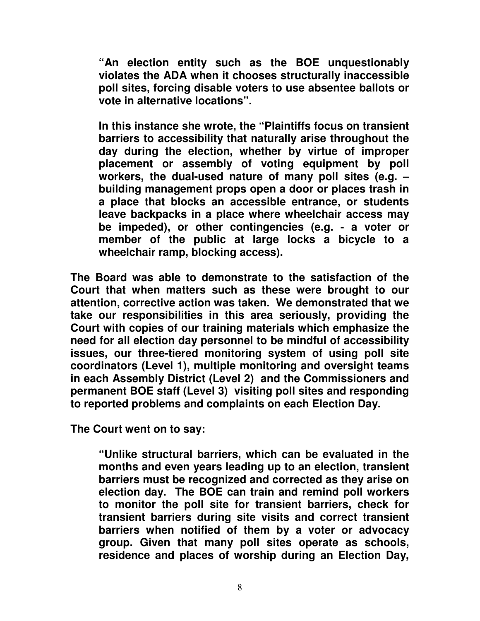**"An election entity such as the BOE unquestionably violates the ADA when it chooses structurally inaccessible poll sites, forcing disable voters to use absentee ballots or vote in alternative locations".** 

**In this instance she wrote, the "Plaintiffs focus on transient barriers to accessibility that naturally arise throughout the day during the election, whether by virtue of improper placement or assembly of voting equipment by poll workers, the dual-used nature of many poll sites (e.g. – building management props open a door or places trash in a place that blocks an accessible entrance, or students leave backpacks in a place where wheelchair access may be impeded), or other contingencies (e.g. - a voter or member of the public at large locks a bicycle to a wheelchair ramp, blocking access).** 

**The Board was able to demonstrate to the satisfaction of the Court that when matters such as these were brought to our attention, corrective action was taken. We demonstrated that we take our responsibilities in this area seriously, providing the Court with copies of our training materials which emphasize the need for all election day personnel to be mindful of accessibility issues, our three-tiered monitoring system of using poll site coordinators (Level 1), multiple monitoring and oversight teams in each Assembly District (Level 2) and the Commissioners and permanent BOE staff (Level 3) visiting poll sites and responding to reported problems and complaints on each Election Day.** 

**The Court went on to say:** 

**"Unlike structural barriers, which can be evaluated in the months and even years leading up to an election, transient barriers must be recognized and corrected as they arise on election day. The BOE can train and remind poll workers to monitor the poll site for transient barriers, check for transient barriers during site visits and correct transient barriers when notified of them by a voter or advocacy group. Given that many poll sites operate as schools, residence and places of worship during an Election Day,**